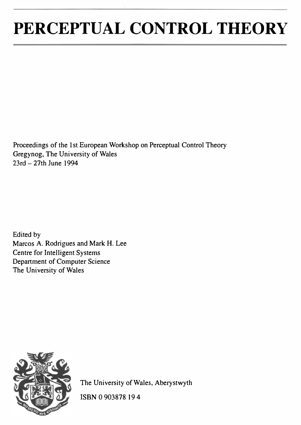# PERCEPTUAL CONTROL THEORY

Proceedings of the 1st European Workshop on Perceptual Control Theory Gregynog, The University of Wales  $23rd - 27th$  June 1994

Edited by Marcos A. Rodrigues and Mark H. Lee Centre for Intelligent Systems Department of Computer Science The University of Wales



The University of Wales, Aberystwyth

ISBN 0 903878 19 4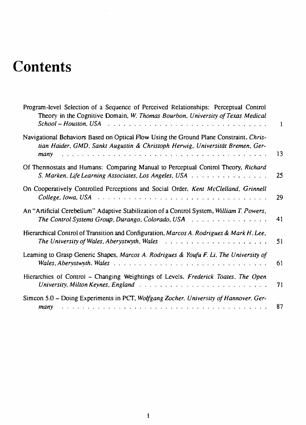## **Contents**

 $\bar{a}$ 

| Program-level Selection of a Sequence of Perceived Relationships: Perceptual Control<br>Theory in the Cognitive Domain, W. Thomas Bourbon, University of Texas Medical                                        | $\mathbf{1}$ |
|---------------------------------------------------------------------------------------------------------------------------------------------------------------------------------------------------------------|--------------|
| Navigational Behaviors Based on Optical Flow Using the Ground Plane Constraint, Chris-<br>tian Haider, GMD, Sankt Augustin & Christoph Herwig, Universität Bremen, Ger-                                       | 13           |
| Of Thermostats and Humans: Comparing Manual to Perceptual Control Theory, Richard<br>S. Marken, Life Learning Associates, Los Angeles, USA                                                                    | 25           |
| On Cooperatively Controlled Perceptions and Social Order, Kent McClelland, Grinnell                                                                                                                           | 29           |
| An "Artificial Cerebellum" Adaptive Stabilization of a Control System, William T. Powers,<br>The Control Systems Group, Durango, Colorado, USA $\ldots \ldots \ldots \ldots \ldots$                           | 41           |
| Hierarchical Control of Transition and Configuration, Marcos A. Rodrigues & Mark H. Lee,                                                                                                                      | 51           |
| Learning to Grasp Generic Shapes, Marcos A. Rodrigues & Youfu F. Li, The University of                                                                                                                        | 61           |
| Hierarchies of Control - Changing Weightings of Levels, Frederick Toates. The Open<br>University, Milton Keynes, England $\ldots \ldots \ldots \ldots \ldots \ldots \ldots \ldots \ldots \ldots$              | 71           |
| Simcon 5.0 - Doing Experiments in PCT, Wolfgang Zocher. University of Hannover. Ger-<br>والمتعالم والمتعالم والمتعالم والمتعالم والمتعالم والمتعالم والمتعالم والمتعالم والمتعالم والمتعالم والمتعالم<br>many | 87           |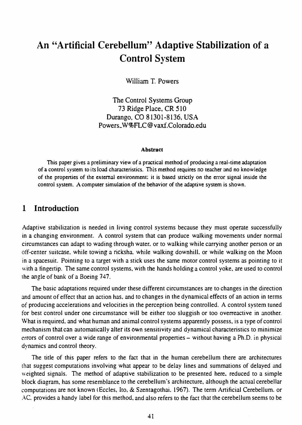### An "Artificial Cerebellum" Adaptive Stabilization of a Control System

William T. Powers

The Control Systems Group 73 Ridge Place, CR 510 Durango, CO 81301-8136, USA Powers\_W%FLC@vaxf.Colorado.edu

#### Abstract

This paper gives a preliminary view of a practical method of producing a real-time adaptation of a control system to its load characteristics. This method requires no teacher and no knowledge of the propenies of the external environment; it is based strictly on the error signal inside the control system. A computer simulation of the behavior of the adaptive system is shown.

#### 1 Introduction

Adaptive stabilization is needed in living control systems because they must operate successfully in a changing environment. A control system that can produce walking movements under normal circumstances can adapt to wading through water, or to walking while carrying another person or an off-center suitcase. while towing a ricksha. while walking downhill, or while walking on the Moon in a spacesuit. Pointing to a target with a stick uses the same motor control systems as pointing to it with a fingertip. The same control systems, with the hands holding a control yoke, are used to control the angle of bank of a Boeing 747.

The basic adaptations required under these different circumstances are to changes in the direction and amount of effect that an action has, and to changes in the dynamical effects of an action in terms of producing accelerations and velocities in the perception being controlled. A control system tuned for best control under one circumstance will be either too sluggish or too overreactive in another. \Vhat is required. and what human and animal control systems apparently possess, is a type of control mechanism that can automatically alter its own sensitivity and dynamical characteristics to minimize errors of control over a wide range of environmental properties – without having a Ph.D. in physical dynamics and control theory.

The title of this paper refers to the fact that in the human cerebellum there are architectures that suggest computations involving what appear to be delay lines and summations of delayed and weighted signals. The method of adaptive stabilization to be presented here. reduced to a simple block diagram, has some resemblance to the cerebellum's architecture, although the actual cerebellar computations are not known (Eccles, Ito, & Szentagothai. 1967). The term Artificial Cerebellum. or AC. provides a handy label for this method, and also refers to the fact that the cerebellum seems to be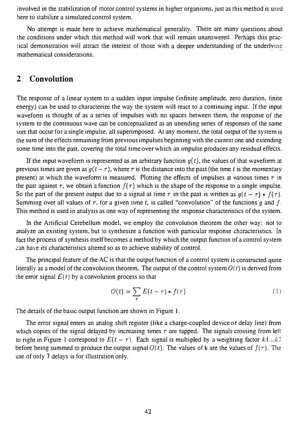involved in the stabilization of motor control systems in higher organisms. just as this method is used here to stabilize a simulated control system.

No attempt is made here to achieve mathematical generality. There are many questions about the conditions under which this method will work that will remain unanswered. Perhaps this practical demonstration will attract the interest of those with a deeper understanding of the underlying mathematical considerations.

#### 2 Convolution

The response of a linear system to a sudden input impulse (infinite amplitude, zero duration, finite energy) can be used to characterize the way the system will react to a continuing input. If the input waveform is thought of as a series of impulses with no spaces between them, the response of the system to the continuous wave can be conceptualized as an unending series of responses of the same sort that occur for a single impulse, all superimposed. At any moment, the total output of the system is the sum of the effects remaining from previous impulses beginning with the current one and extending some time into the past, covering the total time over which an impulse produces any residual effects.

If the input waveform is represented as an arbitrary function  $q(t)$ , the values of that waveform at previous times are given as  $q(t - \tau)$ , where  $\tau$  is the distance into the past (the time t is the momentary present) at which the waveform is measured. Plotting the effects of impulses at various times  $\tau$  in the past against  $\tau$ , we obtain a function  $f(\tau)$  which is the shape of the response to a single impulse. So the part of the present output due to a signal at time  $\tau$  in the past is written as  $g(t - \tau) * f(\tau)$ . Summing over all values of  $\tau$ , for a given time t, is called "convolution" of the functions q and f. This method is used in analysis as one way of representing the response characteristics of the system.

In the Artificial Cerebellum model, we employ the convolution theorem the other way: not to analyze an existing system, but to synthesize a function with particular response characteristics. In fact the process of synthesis itself becomes a method by which the output function of a control system can have its characteristics altered so as to achieve stability of control.

The principal feature of the AC is that the output function of a control system is constructed quite literally as a model of the convolution theorem. The output of the control system  $O(t)$  is derived from the error signal  $E(t)$  by a convolution process so that

$$
O(t) = \sum_{\tau} E(t - \tau) * f(\tau)
$$
 (1)

The details of the basic output function are shown in Figure l.

The error signal enters an analog shift register (like a charge-coupled device or delay line) from which copies of the signal delayed by increasing times  $\tau$  are tapped. The signals crossing from left to right in Figure 1 correspond to  $E(t - \tau)$ . Each signal is multipled by a weighting factor k I...  $k \bar{\tau}$ before being summed to produce the output signal  $O(t)$ . The values of k are the values of  $f(\tau)$ . The use of only 7 delays is for illustration only.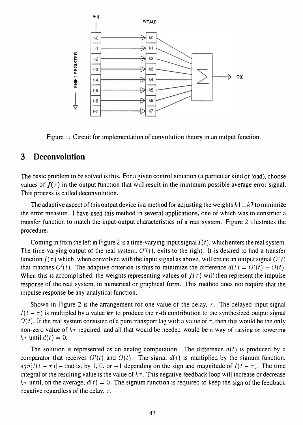

Figure l: Circuit for implementation of convolution theory in an output function.

#### 3 Deconvolution

The basic problem to be solved is this. For a given control situation (a particular kind of load), choose values of  $f(\tau)$  in the output function that will result in the minimum possible average error signal. This process is called deconvolution.

The adaptive aspect of this output device is a method for adjusting the weights  $k1...k7$  to minimize the error measure. I have used this method in several applications, one of which was to construct a transfer function to match the input-output characteristics of a real system. Figure 2 illustrates the procedure.

Coming in from the left in Figure 2 is a time-varying input signal  $I(t)$ , which enters the real system. The time-varying output of the real system,  $O'(t)$ , exits to the right. It is desired to find a transfer function  $f(\tau)$  which, when convolved with the input signal as above, will create an output signal  $O(t)$ that matches  $O'(t)$ . The adaptive criterion is thus to minimize the difference  $d(t) = O'(t) - O(t)$ . When this is accomplished, the weights representing values of  $f(\tau)$  will then represent the impulse response of the real system, in numerical or graphical form. This method does not require that the impulse response be any analytical function.

Shown in Figure 2 is the arrangement for one value of the delay,  $\tau$ . The delayed input signal  $I(t - \tau)$  is multipled by a value  $k\tau$  to produce the  $\tau$ -th contribution to the synthesized output signal  $O(t)$ . If the real system consisted of a pure transport lag with a value of  $\tau$ , then this would be the only non-zero value of  $k\tau$  required, and all that would be needed would be a way of raising or lowering  $k\tau$  until  $d(t) = 0$ .

The solution is represented as an analog computation. The difference  $d(t)$  is produced by a comparator that receives  $O'(t)$  and  $O(t)$ . The signal  $d(t)$  is multiplied by the signum function,  $sgn(I(t - \tau))$  – that is, by 1, 0, or –1 depending on the sign and magnitude of  $I(t - \tau)$ . The time integral of the resulting value is the value of  $k\tau$ . This negative feedback loop will increase or decrease  $k\tau$  until, on the average,  $d(t) = 0$ . The signum function is required to keep the sign of the feedback negative regardless of the delay,  $\tau$ .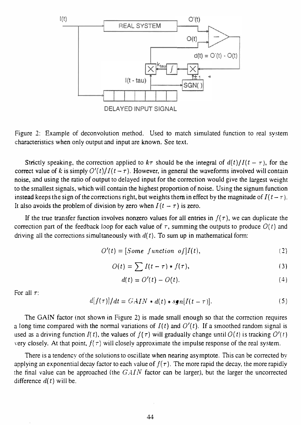

Figure 2: Example of deconvolution method. Used to match simulated function to real system <sup>c</sup>haracteristics when only output and input are known. See text.

Strictly speaking, the correction applied to  $k\tau$  should be the integral of  $d(t)/I(t - \tau)$ , for the correct value of k is simply  $O'(t)/I(t-\tau)$ . However, in general the waveforms involved will contain noise, and using the ratio of output to delayed input for the correction would give the largest weight to the smallest signals, which will contain the highest proportion of noise. Using the signum function instead keeps the sign of the corrections right, but weights them in effect by the magnitude of  $I(t-\tau)$ . It also avoids the problem of division by zero when  $I(t - \tau)$  is zero.

If the true transfer function involves nonzero values for all entries in  $f(\tau)$ , we can duplicate the correction part of the feedback loop for each value of  $\tau$ , summing the outputs to produce  $O(t)$  and driving all the corrections simultaneously with  $d(t)$ . To sum up in mathematical form:

$$
O'(t) = [Some function of]I(t), \qquad (2)
$$

$$
O(t) = \sum I(t-\tau) * f(\tau), \qquad (3)
$$

$$
d(t) = O'(t) - O(t). \tag{4}
$$

For all  $\tau$ :

$$
d[f(\tau)]/dt = GAIN * d(t) * sgn[I(t-\tau)].
$$
\n(5)

The GAIN factor (not shown in Figure 2) is made small enough so that the correction requires a long time compared with the normal variations of  $I(t)$  and  $O'(t)$ . If a smoothed random signal is used as a driving function  $I(t)$ , the values of  $f(\tau)$  will gradually change until  $O(t)$  is tracking  $O'(t)$ very closely. At that point,  $f(\tau)$  will closely approximate the impulse response of the real system.

There is a tendency of the solutions to oscillate when nearing asymptote. This can be corrected by applying an exponential decay factor to each value of  $f(\tau)$ . The more rapid the decay, the more rapidly the final value can be approached (the  $GAIN$  factor can be larger), but the larger the uncorrected difference  $d(t)$  will be.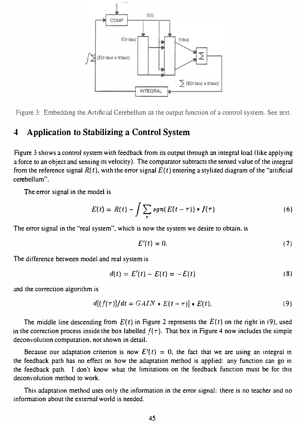

Figure 3: Embedding the Artificial Cerebellum as the output function of a control system. See text.

### 4 Application to Stabilizing a Control System

Figure 3 shows a control system with feedback from its output through an integral load (like applying a force to an object and sensing its velocity). The comparator subtracts the sensed value of the integral from the reference signal  $R(t)$ , with the error signal  $E(t)$  entering a stylized diagram of the "artificial cerebellum".

The error signal in the model is

$$
E(t) = R(t) - \int \sum_{\tau} sgn(E(t-\tau)) * f(\tau)
$$
 (6)

The error signal in the "real system", which is now the system we desire to obtain, is

$$
E'(t) = 0.\t\t(7)
$$

The difference between model and real system is

$$
d(t) = E'(t) - E(t) = -E(t)
$$
 (8)

and the correction algorithm is

$$
d[(f(\tau)]/dt = GAIN * E(t-\tau)] * E(t).
$$
\n(9)

The middle line descending from  $E(t)$  in Figure 2 represents the  $E(t)$  on the right in (9), used in the correction process inside the box labelled  $f(\tau)$ . That box in Figure 4 now includes the simple deconvolution computation, not shown in detail.

Because our adaptation criterion is now  $E'(t) = 0$ , the fact that we are using an integral in the feedback path has no effect on how the adaptation method is applied: any function can go in the feedback path. I don't know what the limitations on the feedback function must be for this deconvolution method to work.

This adaptation method uses only the information in the error signal: there is no teacher and no information about the external world is needed.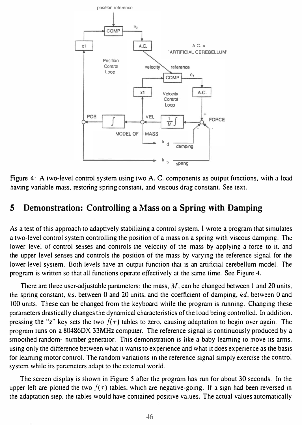

Figure 4: A two-level control system using two A. C. components as output functions, with a load having variable mass, restoring spring constant, and viscous drag constant. See text.

#### 5 Demonstration: Controlling a Mass on a Spring with Damping

As a test of this approach to adaptively stabilizing a control system, I wrote a program that simulates a two-level control system controlling the position of a mass on a spring with viscous damping. The lower level of control senses and controls the velocity of the mass by applying a force to it. and the upper level senses and controls the position of the mass by varying the reference signal for the lower-level system. Both levels have an output function that is an artificial cerebellum model. The program is written so that all functions operate effectively at the same time. See Figure 4.

There are three user-adjustable parameters: the mass,  $M$ , can be changed between 1 and 20 units. the spring constant,  $ks$ , between 0 and 20 units, and the coefficient of damping,  $kd$ , between 0 and 100 units. These can be changed from the keyboard while the program is running. Changing these parameters drastically changes the dynamical characteristics of the load being controlled. In addition. pressing the "z" key sets the two  $f(\tau)$  tables to zero, causing adaptation to begin over again. The program runs on a 80486DX 33MHz computer. The reference signal is continuously produced by a smoothed random- number generator. This demonstration is like a baby learning to move its arms. using only the difference between what it wants to experience and what it does experience as the basis for learning motor control. The random variations in the reference signal simply exercise the control system while its parameters adapt to the external world.

The screen display is shown in Figure 5 after the program has run for about 30 seconds. In the upper left are plotted the two  $f(\tau)$  tables, which are negative-going. If a sign had been reversed in the adaptation step, the tables would have contained positive values. The actual values automatically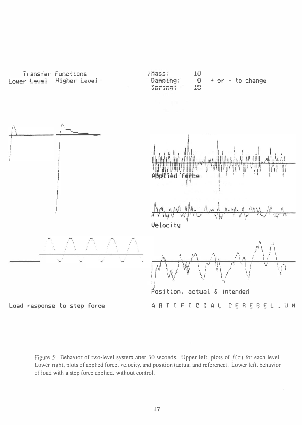

Figure 5: Behavior of two-level system after 30 seconds. Upper left, plots of  $f(\tau)$  for each level. Lower right, plots of applied force. velocity, and position (actual and reference). Lower left, behavior of load with a step force applied, without control.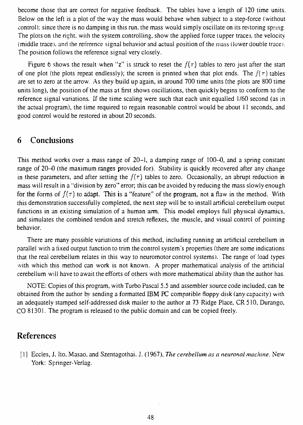become those that are correct for negative feedback. The tables have a length of 120 time units. Below on the left is a plot of the way the mass would behave when subject to a step-force (without control); since there is no damping in this run, the mass would simply oscillate on its restoring spring. The plots on the right, with the system controlling, show the applied force (upper trace), the velocity (middle trace), and the reference signal behavior and actual position of the mass (lower double trace). The position follows the reference signal very closely.

Figure 6 shows the result when "z" is struck to reset the  $f(\tau)$  tables to zero just after the start of one plot (the plots repeat endlessly); the screen is printed when that plot ends. The  $f(\tau)$  tables are set to zero at the arrow. As they build up again, in around 700 time units (the plots are 800 time units long), the position of the mass at first shows oscillations, then quickly begins to conform to the reference signal variations. If the time scaling were such that each unit equalled l/60 second (as in the actual program), the time required to regain reasonable control would be about 11 seconds, and good control would be restored in about 20 seconds.

#### 6 Conclusions

This method works over a mass range of 20-1, a damping range of 100-0, and a spring constant range of 20-0 (the maximum ranges provided for). Stability is quickly recovered after any change in these parameters, and after setting the  $f(\tau)$  tables to zero. Occasionally, an abrupt reduction in mass will result in a "division by zero" error; this can be avoided by reducing the mass slowly enough for the forms of  $f(\tau)$  to adapt. This is a "feature" of the program, not a flaw in the method. With this demonstration successfully completed, the next step will be to install artificial cerebellum output functions in an existing simulation of a human arm. This model employs full physical dynamics, and simulates the combined tendon and stretch reflexes, the muscle, and visual control of pointing behavior.

There are many possible variations of this method, including running an artificial cerebellum in parallel with a fixed output function to trim the control system's properties (there are some indications that the real cerebellum relates in this way to neuromotor control systems). The range of load types with which this method can work is not known. A proper mathematical analysis of the artificial cerebellum will have to await the efforts of others with more mathematical ability than the author has.

NOTE: Copies of this program, with Turbo Pascal 5.5 and assembler source code included, can be obtained from the author by sending a formatted IBM PC compatible floppy disk (any capacity) with an adequately stamped self-addressed disk mailer to the author at 73 Ridge Place, CR 510, Durango, CO 81301. The program is released to the public domain and can be copied freely.

#### References

[1] Eccles, J. Ito. Masao. and Szentagothai. J. (1967), The cerebellum as a neuronal machine. New York: Springer-Verlag.